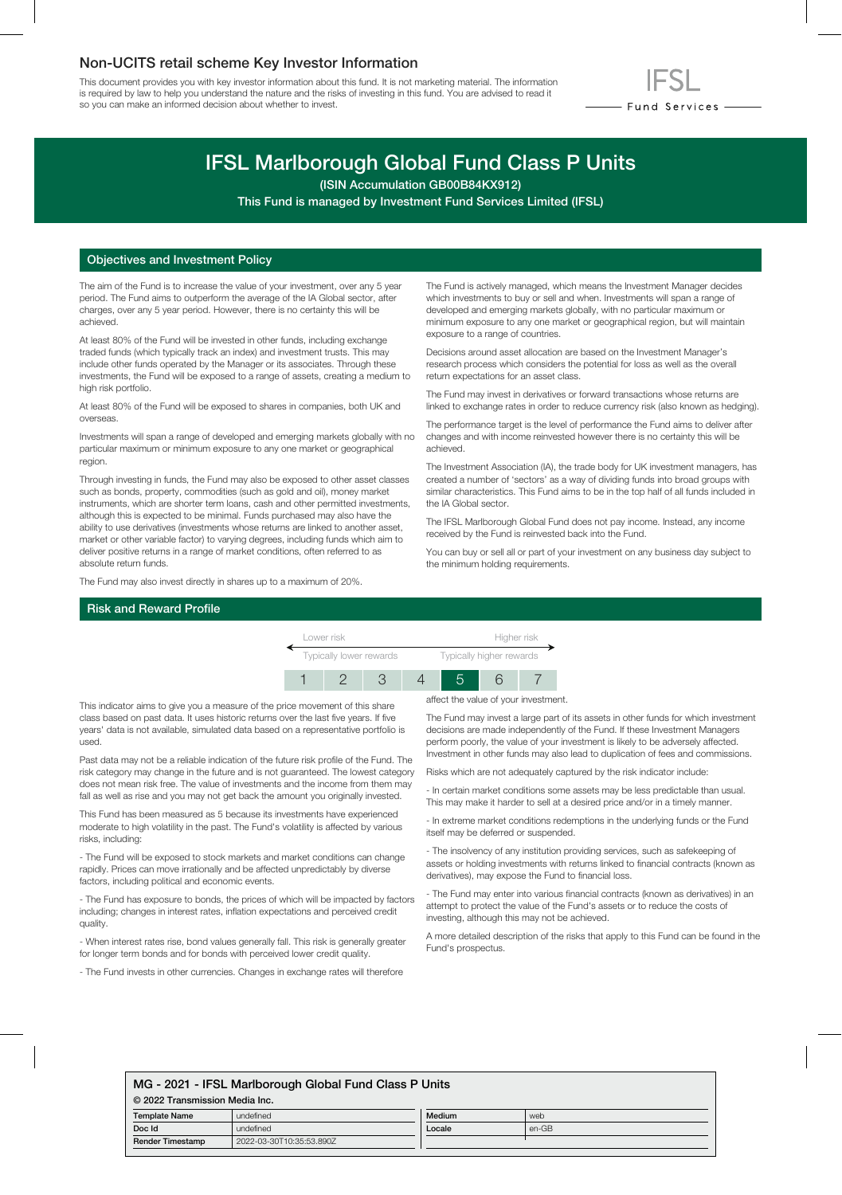# Non-UCITS retail scheme Key Investor Information

This document provides you with key investor information about this fund. It is not marketing material. The information is required by law to help you understand the nature and the risks of investing in this fund. You are advised to read it so you can make an informed decision about whether to invest.



# **IFSL Marlborough Global Fund Class P Units**

(ISIN Accumulation GB00B84KX912)

This Fund is managed by Investment Fund Services Limited (IFSL)

# Objectives and Investment Policy

The aim of the Fund is to increase the value of your investment, over any 5 year period. The Fund aims to outperform the average of the IA Global sector, after charges, over any 5 year period. However, there is no certainty this will be achieved.

At least 80% of the Fund will be invested in other funds, including exchange traded funds (which typically track an index) and investment trusts. This may include other funds operated by the Manager or its associates. Through these investments, the Fund will be exposed to a range of assets, creating a medium to high risk portfolio.

At least 80% of the Fund will be exposed to shares in companies, both UK and overseas.

Investments will span a range of developed and emerging markets globally with no particular maximum or minimum exposure to any one market or geographical region.

Through investing in funds, the Fund may also be exposed to other asset classes such as bonds, property, commodities (such as gold and oil), money market instruments, which are shorter term loans, cash and other permitted investments, although this is expected to be minimal. Funds purchased may also have the ability to use derivatives (investments whose returns are linked to another asset, market or other variable factor) to varying degrees, including funds which aim to deliver positive returns in a range of market conditions, often referred to as absolute return funds.

The Fund may also invest directly in shares up to a maximum of 20%.

#### Risk and Reward Profile

The Fund is actively managed, which means the Investment Manager decides which investments to buy or sell and when. Investments will span a range of developed and emerging markets globally, with no particular maximum or minimum exposure to any one market or geographical region, but will maintain exposure to a range of countries.

Decisions around asset allocation are based on the Investment Manager's research process which considers the potential for loss as well as the overall return expectations for an asset class.

The Fund may invest in derivatives or forward transactions whose returns are linked to exchange rates in order to reduce currency risk (also known as hedging).

The performance target is the level of performance the Fund aims to deliver after changes and with income reinvested however there is no certainty this will be achieved.

The Investment Association (IA), the trade body for UK investment managers, has created a number of 'sectors' as a way of dividing funds into broad groups with similar characteristics. This Fund aims to be in the top half of all funds included in the IA Global sector.

The IFSL Marlborough Global Fund does not pay income. Instead, any income received by the Fund is reinvested back into the Fund.

You can buy or sell all or part of your investment on any business day subject to the minimum holding requirements.

| Lower risk              |  |  |  | Higher risk              |  |  |
|-------------------------|--|--|--|--------------------------|--|--|
| Typically lower rewards |  |  |  | Typically higher rewards |  |  |
|                         |  |  |  |                          |  |  |

This indicator aims to give you a measure of the price movement of this share class based on past data. It uses historic returns over the last five years. If five years' data is not available, simulated data based on a representative portfolio is used.

Past data may not be a reliable indication of the future risk profile of the Fund. The risk category may change in the future and is not guaranteed. The lowest category does not mean risk free. The value of investments and the income from them may fall as well as rise and you may not get back the amount you originally invested.

This Fund has been measured as 5 because its investments have experienced moderate to high volatility in the past. The Fund's volatility is affected by various risks, including:

- The Fund will be exposed to stock markets and market conditions can change rapidly. Prices can move irrationally and be affected unpredictably by diverse factors, including political and economic events.

- The Fund has exposure to bonds, the prices of which will be impacted by factors including; changes in interest rates, inflation expectations and perceived credit quality.

- When interest rates rise, bond values generally fall. This risk is generally greater for longer term bonds and for bonds with perceived lower credit quality.

- The Fund invests in other currencies. Changes in exchange rates will therefore

affect the value of your investment.

The Fund may invest a large part of its assets in other funds for which investment decisions are made independently of the Fund. If these Investment Managers perform poorly, the value of your investment is likely to be adversely affected. Investment in other funds may also lead to duplication of fees and commissions.

Risks which are not adequately captured by the risk indicator include:

- In certain market conditions some assets may be less predictable than usual. This may make it harder to sell at a desired price and/or in a timely manner.

- In extreme market conditions redemptions in the underlying funds or the Fund itself may be deferred or suspended.

- The insolvency of any institution providing services, such as safekeeping of assets or holding investments with returns linked to financial contracts (known as derivatives), may expose the Fund to financial loss.

- The Fund may enter into various financial contracts (known as derivatives) in an attempt to protect the value of the Fund's assets or to reduce the costs of investing, although this may not be achieved.

A more detailed description of the risks that apply to this Fund can be found in the Fund's prospectus.